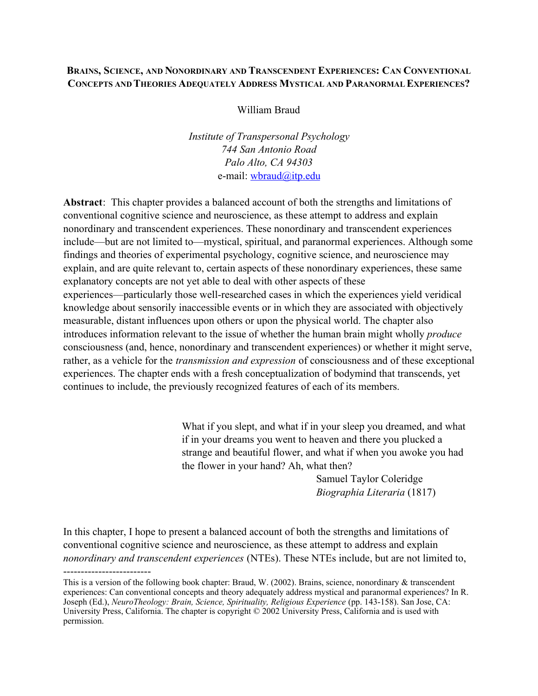# **BRAINS, SCIENCE, AND NONORDINARY AND TRANSCENDENT EXPERIENCES: CAN CONVENTIONAL CONCEPTS AND THEORIES ADEQUATELY ADDRESS MYSTICAL AND PARANORMAL EXPERIENCES?**

William Braud

*Institute of Transpersonal Psychology 744 San Antonio Road Palo Alto, CA 94303* e-mail: wbraud@itp.edu

**Abstract**: This chapter provides a balanced account of both the strengths and limitations of conventional cognitive science and neuroscience, as these attempt to address and explain nonordinary and transcendent experiences. These nonordinary and transcendent experiences include—but are not limited to—mystical, spiritual, and paranormal experiences. Although some findings and theories of experimental psychology, cognitive science, and neuroscience may explain, and are quite relevant to, certain aspects of these nonordinary experiences, these same explanatory concepts are not yet able to deal with other aspects of these experiences—particularly those well-researched cases in which the experiences yield veridical knowledge about sensorily inaccessible events or in which they are associated with objectively measurable, distant influences upon others or upon the physical world. The chapter also introduces information relevant to the issue of whether the human brain might wholly *produce* consciousness (and, hence, nonordinary and transcendent experiences) or whether it might serve, rather, as a vehicle for the *transmission and expression* of consciousness and of these exceptional experiences. The chapter ends with a fresh conceptualization of bodymind that transcends, yet continues to include, the previously recognized features of each of its members.

> What if you slept, and what if in your sleep you dreamed, and what if in your dreams you went to heaven and there you plucked a strange and beautiful flower, and what if when you awoke you had the flower in your hand? Ah, what then?

> > Samuel Taylor Coleridge *Biographia Literaria* (1817)

In this chapter, I hope to present a balanced account of both the strengths and limitations of conventional cognitive science and neuroscience, as these attempt to address and explain *nonordinary and transcendent experiences* (NTEs). These NTEs include, but are not limited to,

-------------------------

This is a version of the following book chapter: Braud, W. (2002). Brains, science, nonordinary & transcendent experiences: Can conventional concepts and theory adequately address mystical and paranormal experiences? In R. Joseph (Ed.), *NeuroTheology: Brain, Science, Spirituality, Religious Experience* (pp. 143-158). San Jose, CA: University Press, California. The chapter is copyright © 2002 University Press, California and is used with permission.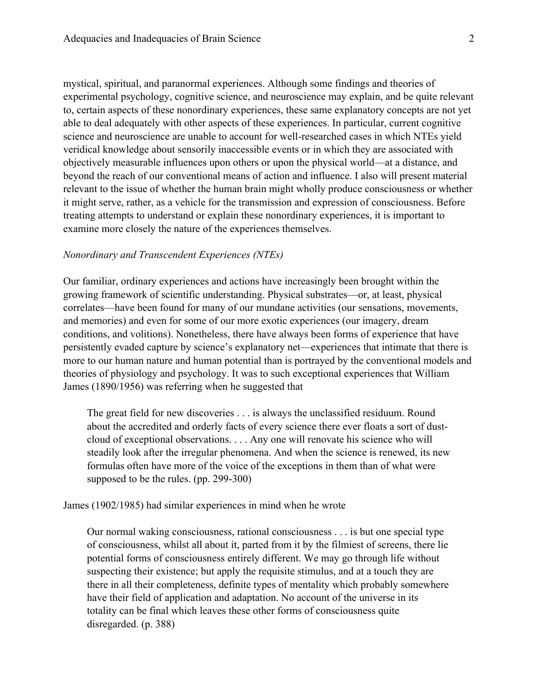mystical, spiritual, and paranormal experiences. Although some findings and theories of experimental psychology, cognitive science, and neuroscience may explain, and be quite relevant to, certain aspects of these nonordinary experiences, these same explanatory concepts are not yet able to deal adequately with other aspects of these experiences. In particular, current cognitive science and neuroscience are unable to account for well-researched cases in which NTEs yield veridical knowledge about sensorily inaccessible events or in which they are associated with objectively measurable influences upon others or upon the physical world—at a distance, and beyond the reach of our conventional means of action and influence. I also will present material relevant to the issue of whether the human brain might wholly produce consciousness or whether it might serve, rather, as a vehicle for the transmission and expression of consciousness. Before treating attempts to understand or explain these nonordinary experiences, it is important to examine more closely the nature of the experiences themselves.

#### *Nonordinary and Transcendent Experiences (NTEs)*

Our familiar, ordinary experiences and actions have increasingly been brought within the growing framework of scientific understanding. Physical substrates—or, at least, physical correlates—have been found for many of our mundane activities (our sensations, movements, and memories) and even for some of our more exotic experiences (our imagery, dream conditions, and volitions). Nonetheless, there have always been forms of experience that have persistently evaded capture by science's explanatory net—experiences that intimate that there is more to our human nature and human potential than is portrayed by the conventional models and theories of physiology and psychology. It was to such exceptional experiences that William James (1890/1956) was referring when he suggested that

The great field for new discoveries . . . is always the unclassified residuum. Round about the accredited and orderly facts of every science there ever floats a sort of dustcloud of exceptional observations. . . . Any one will renovate his science who will steadily look after the irregular phenomena. And when the science is renewed, its new formulas often have more of the voice of the exceptions in them than of what were supposed to be the rules. (pp. 299-300)

#### James (1902/1985) had similar experiences in mind when he wrote

Our normal waking consciousness, rational consciousness . . . is but one special type of consciousness, whilst all about it, parted from it by the filmiest of screens, there lie potential forms of consciousness entirely different. We may go through life without suspecting their existence; but apply the requisite stimulus, and at a touch they are there in all their completeness, definite types of mentality which probably somewhere have their field of application and adaptation. No account of the universe in its totality can be final which leaves these other forms of consciousness quite disregarded. (p. 388)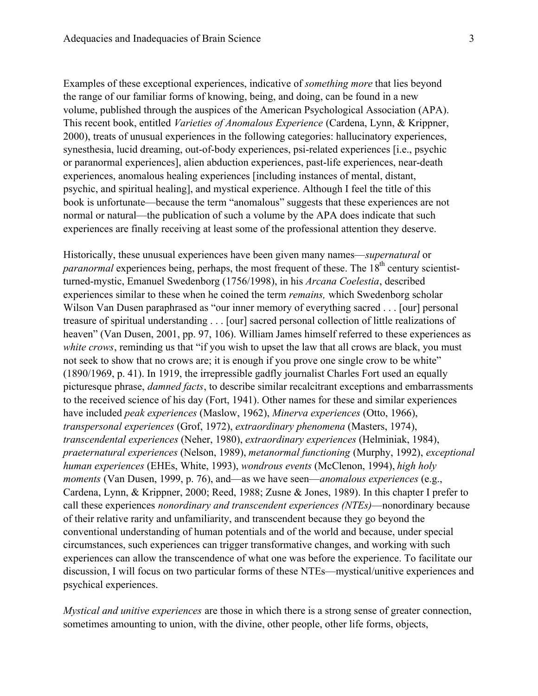Examples of these exceptional experiences, indicative of *something more* that lies beyond the range of our familiar forms of knowing, being, and doing, can be found in a new volume, published through the auspices of the American Psychological Association (APA). This recent book, entitled *Varieties of Anomalous Experience* (Cardena, Lynn, & Krippner, 2000), treats of unusual experiences in the following categories: hallucinatory experiences, synesthesia, lucid dreaming, out-of-body experiences, psi-related experiences [i.e., psychic or paranormal experiences], alien abduction experiences, past-life experiences, near-death experiences, anomalous healing experiences [including instances of mental, distant, psychic, and spiritual healing], and mystical experience. Although I feel the title of this book is unfortunate—because the term "anomalous" suggests that these experiences are not normal or natural—the publication of such a volume by the APA does indicate that such experiences are finally receiving at least some of the professional attention they deserve.

Historically, these unusual experiences have been given many names—*supernatural* or *paranormal* experiences being, perhaps, the most frequent of these. The 18<sup>th</sup> century scientistturned-mystic, Emanuel Swedenborg (1756/1998), in his *Arcana Coelestia*, described experiences similar to these when he coined the term *remains,* which Swedenborg scholar Wilson Van Dusen paraphrased as "our inner memory of everything sacred . . . [our] personal treasure of spiritual understanding . . . [our] sacred personal collection of little realizations of heaven" (Van Dusen, 2001, pp. 97, 106). William James himself referred to these experiences as white crows, reminding us that "if you wish to upset the law that all crows are black, you must not seek to show that no crows are; it is enough if you prove one single crow to be white" (1890/1969, p. 41). In 1919, the irrepressible gadfly journalist Charles Fort used an equally picturesque phrase, *damned facts*, to describe similar recalcitrant exceptions and embarrassments to the received science of his day (Fort, 1941). Other names for these and similar experiences have included *peak experiences* (Maslow, 1962), *Minerva experiences* (Otto, 1966), *transpersonal experiences* (Grof, 1972), *extraordinary phenomena* (Masters, 1974), *transcendental experiences* (Neher, 1980), *extraordinary experiences* (Helminiak, 1984), *praeternatural experiences* (Nelson, 1989), *metanormal functioning* (Murphy, 1992), *exceptional human experiences* (EHEs, White, 1993), *wondrous events* (McClenon, 1994), *high holy moments* (Van Dusen, 1999, p. 76), and—as we have seen—*anomalous experiences* (e.g., Cardena, Lynn, & Krippner, 2000; Reed, 1988; Zusne & Jones, 1989). In this chapter I prefer to call these experiences *nonordinary and transcendent experiences (NTEs)*—nonordinary because of their relative rarity and unfamiliarity, and transcendent because they go beyond the conventional understanding of human potentials and of the world and because, under special circumstances, such experiences can trigger transformative changes, and working with such experiences can allow the transcendence of what one was before the experience. To facilitate our discussion, I will focus on two particular forms of these NTEs—mystical/unitive experiences and psychical experiences.

*Mystical and unitive experiences* are those in which there is a strong sense of greater connection, sometimes amounting to union, with the divine, other people, other life forms, objects,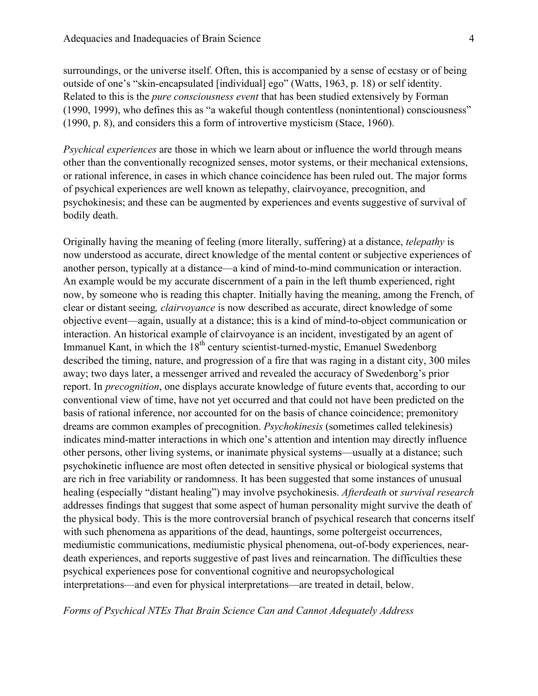surroundings, or the universe itself. Often, this is accompanied by a sense of ecstasy or of being outside of one's "skin-encapsulated [individual] ego" (Watts, 1963, p. 18) or self identity. Related to this is the *pure consciousness event* that has been studied extensively by Forman (1990, 1999), who defines this as "a wakeful though contentless (nonintentional) consciousness" (1990, p. 8), and considers this a form of introvertive mysticism (Stace, 1960).

*Psychical experiences* are those in which we learn about or influence the world through means other than the conventionally recognized senses, motor systems, or their mechanical extensions, or rational inference, in cases in which chance coincidence has been ruled out. The major forms of psychical experiences are well known as telepathy, clairvoyance, precognition, and psychokinesis; and these can be augmented by experiences and events suggestive of survival of bodily death.

Originally having the meaning of feeling (more literally, suffering) at a distance, *telepathy* is now understood as accurate, direct knowledge of the mental content or subjective experiences of another person, typically at a distance—a kind of mind-to-mind communication or interaction. An example would be my accurate discernment of a pain in the left thumb experienced, right now, by someone who is reading this chapter. Initially having the meaning, among the French, of clear or distant seeing*, clairvoyance* is now described as accurate, direct knowledge of some objective event—again, usually at a distance; this is a kind of mind-to-object communication or interaction. An historical example of clairvoyance is an incident, investigated by an agent of Immanuel Kant, in which the  $18<sup>th</sup>$  century scientist-turned-mystic, Emanuel Swedenborg described the timing, nature, and progression of a fire that was raging in a distant city, 300 miles away; two days later, a messenger arrived and revealed the accuracy of Swedenborg's prior report. In *precognition*, one displays accurate knowledge of future events that, according to our conventional view of time, have not yet occurred and that could not have been predicted on the basis of rational inference, nor accounted for on the basis of chance coincidence; premonitory dreams are common examples of precognition. *Psychokinesis* (sometimes called telekinesis) indicates mind-matter interactions in which one's attention and intention may directly influence other persons, other living systems, or inanimate physical systems—usually at a distance; such psychokinetic influence are most often detected in sensitive physical or biological systems that are rich in free variability or randomness. It has been suggested that some instances of unusual healing (especially "distant healing") may involve psychokinesis. *Afterdeath* or *survival research* addresses findings that suggest that some aspect of human personality might survive the death of the physical body. This is the more controversial branch of psychical research that concerns itself with such phenomena as apparitions of the dead, hauntings, some poltergeist occurrences, mediumistic communications, mediumistic physical phenomena, out-of-body experiences, neardeath experiences, and reports suggestive of past lives and reincarnation. The difficulties these psychical experiences pose for conventional cognitive and neuropsychological interpretations—and even for physical interpretations—are treated in detail, below.

*Forms of Psychical NTEs That Brain Science Can and Cannot Adequately Address*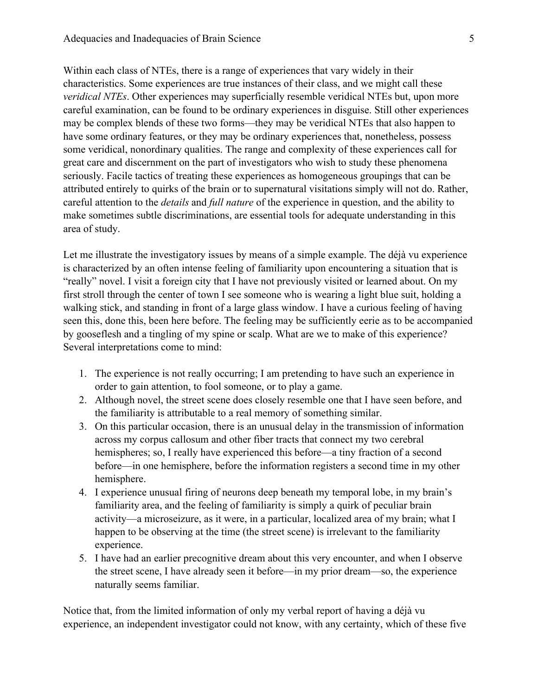Within each class of NTEs, there is a range of experiences that vary widely in their characteristics. Some experiences are true instances of their class, and we might call these *veridical NTEs*. Other experiences may superficially resemble veridical NTEs but, upon more careful examination, can be found to be ordinary experiences in disguise. Still other experiences may be complex blends of these two forms—they may be veridical NTEs that also happen to have some ordinary features, or they may be ordinary experiences that, nonetheless, possess some veridical, nonordinary qualities. The range and complexity of these experiences call for great care and discernment on the part of investigators who wish to study these phenomena seriously. Facile tactics of treating these experiences as homogeneous groupings that can be attributed entirely to quirks of the brain or to supernatural visitations simply will not do. Rather, careful attention to the *details* and *full nature* of the experience in question, and the ability to make sometimes subtle discriminations, are essential tools for adequate understanding in this area of study.

Let me illustrate the investigatory issues by means of a simple example. The déjà vu experience is characterized by an often intense feeling of familiarity upon encountering a situation that is "really" novel. I visit a foreign city that I have not previously visited or learned about. On my first stroll through the center of town I see someone who is wearing a light blue suit, holding a walking stick, and standing in front of a large glass window. I have a curious feeling of having seen this, done this, been here before. The feeling may be sufficiently eerie as to be accompanied by gooseflesh and a tingling of my spine or scalp. What are we to make of this experience? Several interpretations come to mind:

- 1. The experience is not really occurring; I am pretending to have such an experience in order to gain attention, to fool someone, or to play a game.
- 2. Although novel, the street scene does closely resemble one that I have seen before, and the familiarity is attributable to a real memory of something similar.
- 3. On this particular occasion, there is an unusual delay in the transmission of information across my corpus callosum and other fiber tracts that connect my two cerebral hemispheres; so, I really have experienced this before—a tiny fraction of a second before—in one hemisphere, before the information registers a second time in my other hemisphere.
- 4. I experience unusual firing of neurons deep beneath my temporal lobe, in my brain's familiarity area, and the feeling of familiarity is simply a quirk of peculiar brain activity—a microseizure, as it were, in a particular, localized area of my brain; what I happen to be observing at the time (the street scene) is irrelevant to the familiarity experience.
- 5. I have had an earlier precognitive dream about this very encounter, and when I observe the street scene, I have already seen it before—in my prior dream—so, the experience naturally seems familiar.

Notice that, from the limited information of only my verbal report of having a déjà vu experience, an independent investigator could not know, with any certainty, which of these five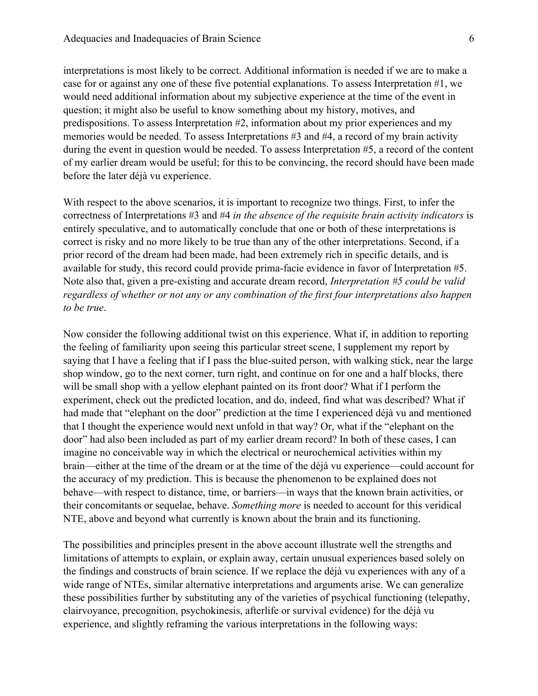interpretations is most likely to be correct. Additional information is needed if we are to make a case for or against any one of these five potential explanations. To assess Interpretation #1, we would need additional information about my subjective experience at the time of the event in question; it might also be useful to know something about my history, motives, and predispositions. To assess Interpretation #2, information about my prior experiences and my memories would be needed. To assess Interpretations #3 and #4, a record of my brain activity during the event in question would be needed. To assess Interpretation #5, a record of the content of my earlier dream would be useful; for this to be convincing, the record should have been made before the later déjà vu experience.

With respect to the above scenarios, it is important to recognize two things. First, to infer the correctness of Interpretations #3 and #4 *in the absence of the requisite brain activity indicators* is entirely speculative, and to automatically conclude that one or both of these interpretations is correct is risky and no more likely to be true than any of the other interpretations. Second, if a prior record of the dream had been made, had been extremely rich in specific details, and is available for study, this record could provide prima-facie evidence in favor of Interpretation #5. Note also that, given a pre-existing and accurate dream record, *Interpretation #5 could be valid regardless of whether or not any or any combination of the first four interpretations also happen to be true*.

Now consider the following additional twist on this experience. What if, in addition to reporting the feeling of familiarity upon seeing this particular street scene, I supplement my report by saying that I have a feeling that if I pass the blue-suited person, with walking stick, near the large shop window, go to the next corner, turn right, and continue on for one and a half blocks, there will be small shop with a yellow elephant painted on its front door? What if I perform the experiment, check out the predicted location, and do, indeed, find what was described? What if had made that "elephant on the door" prediction at the time I experienced déjà vu and mentioned that I thought the experience would next unfold in that way? Or, what if the "elephant on the door" had also been included as part of my earlier dream record? In both of these cases, I can imagine no conceivable way in which the electrical or neurochemical activities within my brain—either at the time of the dream or at the time of the déjà vu experience—could account for the accuracy of my prediction. This is because the phenomenon to be explained does not behave—with respect to distance, time, or barriers—in ways that the known brain activities, or their concomitants or sequelae, behave. *Something more* is needed to account for this veridical NTE, above and beyond what currently is known about the brain and its functioning.

The possibilities and principles present in the above account illustrate well the strengths and limitations of attempts to explain, or explain away, certain unusual experiences based solely on the findings and constructs of brain science. If we replace the déjà vu experiences with any of a wide range of NTEs, similar alternative interpretations and arguments arise. We can generalize these possibilities further by substituting any of the varieties of psychical functioning (telepathy, clairvoyance, precognition, psychokinesis, afterlife or survival evidence) for the déjà vu experience, and slightly reframing the various interpretations in the following ways: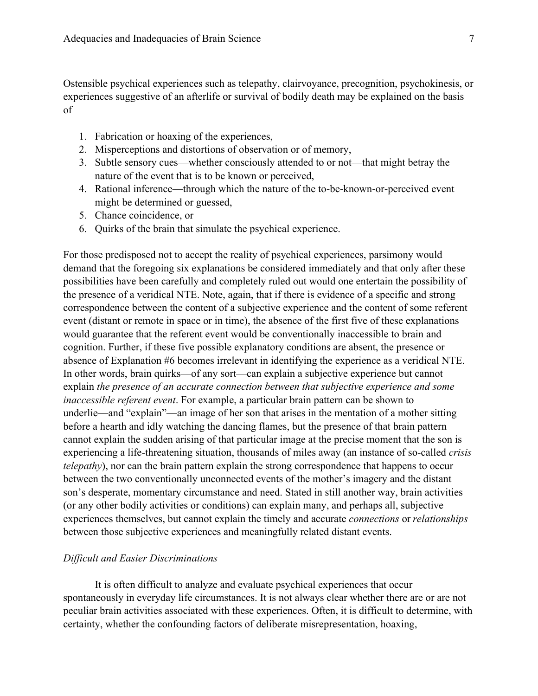Ostensible psychical experiences such as telepathy, clairvoyance, precognition, psychokinesis, or experiences suggestive of an afterlife or survival of bodily death may be explained on the basis of

- 1. Fabrication or hoaxing of the experiences,
- 2. Misperceptions and distortions of observation or of memory,
- 3. Subtle sensory cues—whether consciously attended to or not—that might betray the nature of the event that is to be known or perceived,
- 4. Rational inference—through which the nature of the to-be-known-or-perceived event might be determined or guessed,
- 5. Chance coincidence, or
- 6. Quirks of the brain that simulate the psychical experience.

For those predisposed not to accept the reality of psychical experiences, parsimony would demand that the foregoing six explanations be considered immediately and that only after these possibilities have been carefully and completely ruled out would one entertain the possibility of the presence of a veridical NTE. Note, again, that if there is evidence of a specific and strong correspondence between the content of a subjective experience and the content of some referent event (distant or remote in space or in time), the absence of the first five of these explanations would guarantee that the referent event would be conventionally inaccessible to brain and cognition. Further, if these five possible explanatory conditions are absent, the presence or absence of Explanation #6 becomes irrelevant in identifying the experience as a veridical NTE. In other words, brain quirks—of any sort—can explain a subjective experience but cannot explain *the presence of an accurate connection between that subjective experience and some inaccessible referent event*. For example, a particular brain pattern can be shown to underlie—and "explain"—an image of her son that arises in the mentation of a mother sitting before a hearth and idly watching the dancing flames, but the presence of that brain pattern cannot explain the sudden arising of that particular image at the precise moment that the son is experiencing a life-threatening situation, thousands of miles away (an instance of so-called *crisis telepathy*), nor can the brain pattern explain the strong correspondence that happens to occur between the two conventionally unconnected events of the mother's imagery and the distant son's desperate, momentary circumstance and need. Stated in still another way, brain activities (or any other bodily activities or conditions) can explain many, and perhaps all, subjective experiences themselves, but cannot explain the timely and accurate *connections* or *relationships* between those subjective experiences and meaningfully related distant events.

### *Difficult and Easier Discriminations*

It is often difficult to analyze and evaluate psychical experiences that occur spontaneously in everyday life circumstances. It is not always clear whether there are or are not peculiar brain activities associated with these experiences. Often, it is difficult to determine, with certainty, whether the confounding factors of deliberate misrepresentation, hoaxing,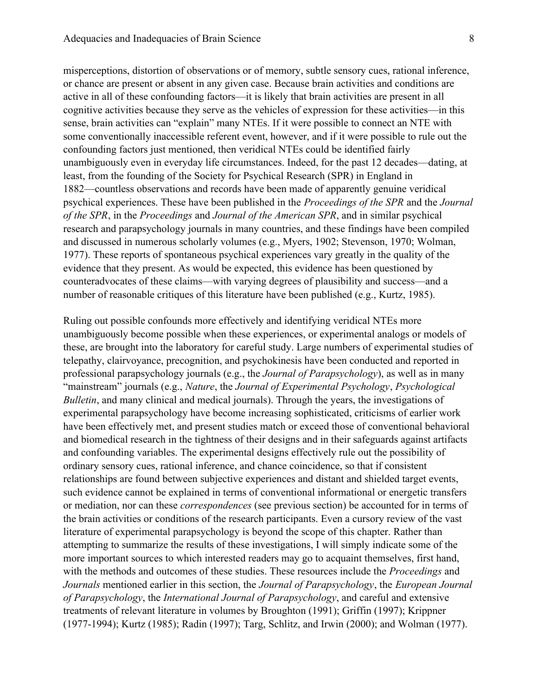misperceptions, distortion of observations or of memory, subtle sensory cues, rational inference, or chance are present or absent in any given case. Because brain activities and conditions are active in all of these confounding factors—it is likely that brain activities are present in all cognitive activities because they serve as the vehicles of expression for these activities—in this sense, brain activities can "explain" many NTEs. If it were possible to connect an NTE with some conventionally inaccessible referent event, however, and if it were possible to rule out the confounding factors just mentioned, then veridical NTEs could be identified fairly unambiguously even in everyday life circumstances. Indeed, for the past 12 decades—dating, at least, from the founding of the Society for Psychical Research (SPR) in England in 1882—countless observations and records have been made of apparently genuine veridical psychical experiences. These have been published in the *Proceedings of the SPR* and the *Journal of the SPR*, in the *Proceedings* and *Journal of the American SPR*, and in similar psychical research and parapsychology journals in many countries, and these findings have been compiled and discussed in numerous scholarly volumes (e.g., Myers, 1902; Stevenson, 1970; Wolman, 1977). These reports of spontaneous psychical experiences vary greatly in the quality of the evidence that they present. As would be expected, this evidence has been questioned by counteradvocates of these claims—with varying degrees of plausibility and success—and a number of reasonable critiques of this literature have been published (e.g., Kurtz, 1985).

Ruling out possible confounds more effectively and identifying veridical NTEs more unambiguously become possible when these experiences, or experimental analogs or models of these, are brought into the laboratory for careful study. Large numbers of experimental studies of telepathy, clairvoyance, precognition, and psychokinesis have been conducted and reported in professional parapsychology journals (e.g., the *Journal of Parapsychology*), as well as in many "mainstream" journals (e.g., *Nature*, the *Journal of Experimental Psychology*, *Psychological Bulletin*, and many clinical and medical journals). Through the years, the investigations of experimental parapsychology have become increasing sophisticated, criticisms of earlier work have been effectively met, and present studies match or exceed those of conventional behavioral and biomedical research in the tightness of their designs and in their safeguards against artifacts and confounding variables. The experimental designs effectively rule out the possibility of ordinary sensory cues, rational inference, and chance coincidence, so that if consistent relationships are found between subjective experiences and distant and shielded target events, such evidence cannot be explained in terms of conventional informational or energetic transfers or mediation, nor can these *correspondences* (see previous section) be accounted for in terms of the brain activities or conditions of the research participants. Even a cursory review of the vast literature of experimental parapsychology is beyond the scope of this chapter. Rather than attempting to summarize the results of these investigations, I will simply indicate some of the more important sources to which interested readers may go to acquaint themselves, first hand, with the methods and outcomes of these studies. These resources include the *Proceedings* and *Journals* mentioned earlier in this section, the *Journal of Parapsychology*, the *European Journal of Parapsychology*, the *International Journal of Parapsychology*, and careful and extensive treatments of relevant literature in volumes by Broughton (1991); Griffin (1997); Krippner (1977-1994); Kurtz (1985); Radin (1997); Targ, Schlitz, and Irwin (2000); and Wolman (1977).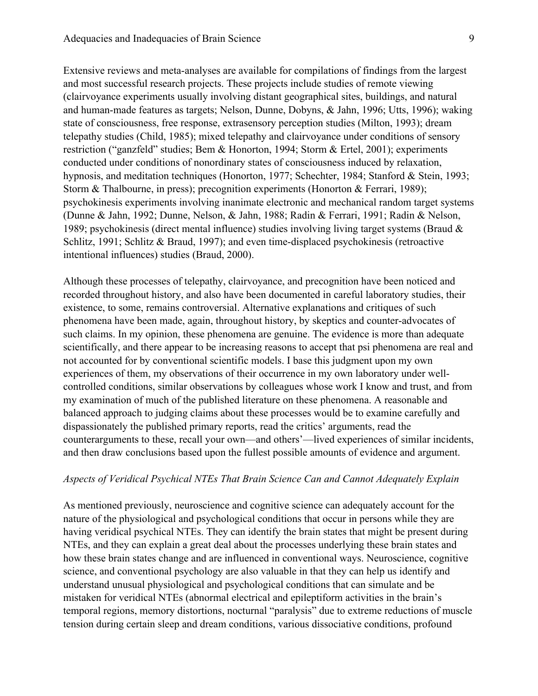Extensive reviews and meta-analyses are available for compilations of findings from the largest and most successful research projects. These projects include studies of remote viewing (clairvoyance experiments usually involving distant geographical sites, buildings, and natural and human-made features as targets; Nelson, Dunne, Dobyns, & Jahn, 1996; Utts, 1996); waking state of consciousness, free response, extrasensory perception studies (Milton, 1993); dream telepathy studies (Child, 1985); mixed telepathy and clairvoyance under conditions of sensory restriction ("ganzfeld" studies; Bem & Honorton, 1994; Storm & Ertel, 2001); experiments conducted under conditions of nonordinary states of consciousness induced by relaxation, hypnosis, and meditation techniques (Honorton, 1977; Schechter, 1984; Stanford & Stein, 1993; Storm & Thalbourne, in press); precognition experiments (Honorton & Ferrari, 1989); psychokinesis experiments involving inanimate electronic and mechanical random target systems (Dunne & Jahn, 1992; Dunne, Nelson, & Jahn, 1988; Radin & Ferrari, 1991; Radin & Nelson, 1989; psychokinesis (direct mental influence) studies involving living target systems (Braud & Schlitz, 1991; Schlitz & Braud, 1997); and even time-displaced psychokinesis (retroactive intentional influences) studies (Braud, 2000).

Although these processes of telepathy, clairvoyance, and precognition have been noticed and recorded throughout history, and also have been documented in careful laboratory studies, their existence, to some, remains controversial. Alternative explanations and critiques of such phenomena have been made, again, throughout history, by skeptics and counter-advocates of such claims. In my opinion, these phenomena are genuine. The evidence is more than adequate scientifically, and there appear to be increasing reasons to accept that psi phenomena are real and not accounted for by conventional scientific models. I base this judgment upon my own experiences of them, my observations of their occurrence in my own laboratory under wellcontrolled conditions, similar observations by colleagues whose work I know and trust, and from my examination of much of the published literature on these phenomena. A reasonable and balanced approach to judging claims about these processes would be to examine carefully and dispassionately the published primary reports, read the critics' arguments, read the counterarguments to these, recall your own—and others'—lived experiences of similar incidents, and then draw conclusions based upon the fullest possible amounts of evidence and argument.

### *Aspects of Veridical Psychical NTEs That Brain Science Can and Cannot Adequately Explain*

As mentioned previously, neuroscience and cognitive science can adequately account for the nature of the physiological and psychological conditions that occur in persons while they are having veridical psychical NTEs. They can identify the brain states that might be present during NTEs, and they can explain a great deal about the processes underlying these brain states and how these brain states change and are influenced in conventional ways. Neuroscience, cognitive science, and conventional psychology are also valuable in that they can help us identify and understand unusual physiological and psychological conditions that can simulate and be mistaken for veridical NTEs (abnormal electrical and epileptiform activities in the brain's temporal regions, memory distortions, nocturnal "paralysis" due to extreme reductions of muscle tension during certain sleep and dream conditions, various dissociative conditions, profound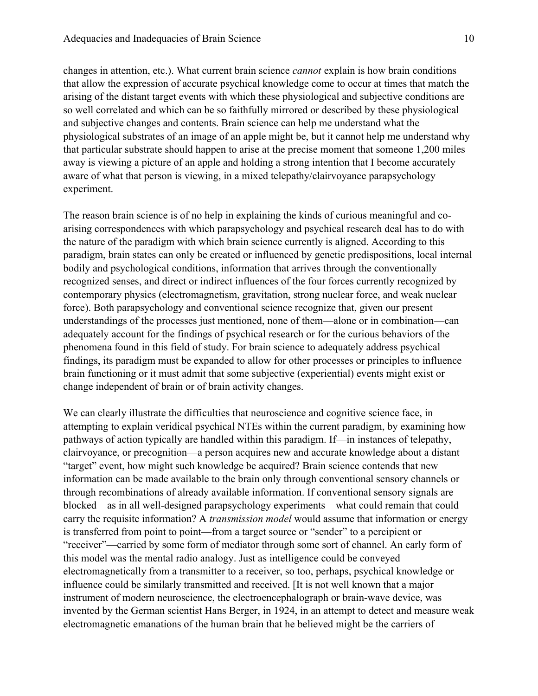changes in attention, etc.). What current brain science *cannot* explain is how brain conditions that allow the expression of accurate psychical knowledge come to occur at times that match the arising of the distant target events with which these physiological and subjective conditions are so well correlated and which can be so faithfully mirrored or described by these physiological and subjective changes and contents. Brain science can help me understand what the physiological substrates of an image of an apple might be, but it cannot help me understand why that particular substrate should happen to arise at the precise moment that someone 1,200 miles away is viewing a picture of an apple and holding a strong intention that I become accurately aware of what that person is viewing, in a mixed telepathy/clairvoyance parapsychology experiment.

The reason brain science is of no help in explaining the kinds of curious meaningful and coarising correspondences with which parapsychology and psychical research deal has to do with the nature of the paradigm with which brain science currently is aligned. According to this paradigm, brain states can only be created or influenced by genetic predispositions, local internal bodily and psychological conditions, information that arrives through the conventionally recognized senses, and direct or indirect influences of the four forces currently recognized by contemporary physics (electromagnetism, gravitation, strong nuclear force, and weak nuclear force). Both parapsychology and conventional science recognize that, given our present understandings of the processes just mentioned, none of them—alone or in combination—can adequately account for the findings of psychical research or for the curious behaviors of the phenomena found in this field of study. For brain science to adequately address psychical findings, its paradigm must be expanded to allow for other processes or principles to influence brain functioning or it must admit that some subjective (experiential) events might exist or change independent of brain or of brain activity changes.

We can clearly illustrate the difficulties that neuroscience and cognitive science face, in attempting to explain veridical psychical NTEs within the current paradigm, by examining how pathways of action typically are handled within this paradigm. If—in instances of telepathy, clairvoyance, or precognition—a person acquires new and accurate knowledge about a distant "target" event, how might such knowledge be acquired? Brain science contends that new information can be made available to the brain only through conventional sensory channels or through recombinations of already available information. If conventional sensory signals are blocked—as in all well-designed parapsychology experiments—what could remain that could carry the requisite information? A *transmission model* would assume that information or energy is transferred from point to point—from a target source or "sender" to a percipient or "receiver"—carried by some form of mediator through some sort of channel. An early form of this model was the mental radio analogy. Just as intelligence could be conveyed electromagnetically from a transmitter to a receiver, so too, perhaps, psychical knowledge or influence could be similarly transmitted and received. [It is not well known that a major instrument of modern neuroscience, the electroencephalograph or brain-wave device, was invented by the German scientist Hans Berger, in 1924, in an attempt to detect and measure weak electromagnetic emanations of the human brain that he believed might be the carriers of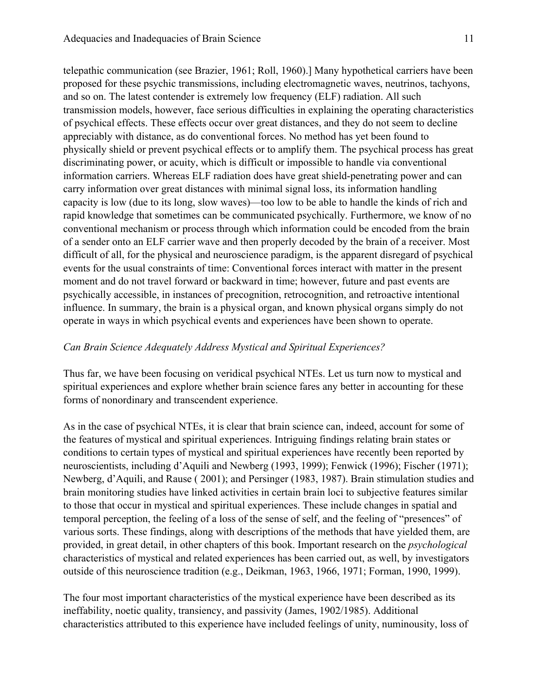telepathic communication (see Brazier, 1961; Roll, 1960).] Many hypothetical carriers have been proposed for these psychic transmissions, including electromagnetic waves, neutrinos, tachyons, and so on. The latest contender is extremely low frequency (ELF) radiation. All such transmission models, however, face serious difficulties in explaining the operating characteristics of psychical effects. These effects occur over great distances, and they do not seem to decline appreciably with distance, as do conventional forces. No method has yet been found to physically shield or prevent psychical effects or to amplify them. The psychical process has great discriminating power, or acuity, which is difficult or impossible to handle via conventional information carriers. Whereas ELF radiation does have great shield-penetrating power and can carry information over great distances with minimal signal loss, its information handling capacity is low (due to its long, slow waves)—too low to be able to handle the kinds of rich and rapid knowledge that sometimes can be communicated psychically. Furthermore, we know of no conventional mechanism or process through which information could be encoded from the brain of a sender onto an ELF carrier wave and then properly decoded by the brain of a receiver. Most difficult of all, for the physical and neuroscience paradigm, is the apparent disregard of psychical events for the usual constraints of time: Conventional forces interact with matter in the present moment and do not travel forward or backward in time; however, future and past events are psychically accessible, in instances of precognition, retrocognition, and retroactive intentional influence. In summary, the brain is a physical organ, and known physical organs simply do not operate in ways in which psychical events and experiences have been shown to operate.

### *Can Brain Science Adequately Address Mystical and Spiritual Experiences?*

Thus far, we have been focusing on veridical psychical NTEs. Let us turn now to mystical and spiritual experiences and explore whether brain science fares any better in accounting for these forms of nonordinary and transcendent experience.

As in the case of psychical NTEs, it is clear that brain science can, indeed, account for some of the features of mystical and spiritual experiences. Intriguing findings relating brain states or conditions to certain types of mystical and spiritual experiences have recently been reported by neuroscientists, including d'Aquili and Newberg (1993, 1999); Fenwick (1996); Fischer (1971); Newberg, d'Aquili, and Rause ( 2001); and Persinger (1983, 1987). Brain stimulation studies and brain monitoring studies have linked activities in certain brain loci to subjective features similar to those that occur in mystical and spiritual experiences. These include changes in spatial and temporal perception, the feeling of a loss of the sense of self, and the feeling of "presences" of various sorts. These findings, along with descriptions of the methods that have yielded them, are provided, in great detail, in other chapters of this book. Important research on the *psychological* characteristics of mystical and related experiences has been carried out, as well, by investigators outside of this neuroscience tradition (e.g., Deikman, 1963, 1966, 1971; Forman, 1990, 1999).

The four most important characteristics of the mystical experience have been described as its ineffability, noetic quality, transiency, and passivity (James, 1902/1985). Additional characteristics attributed to this experience have included feelings of unity, numinousity, loss of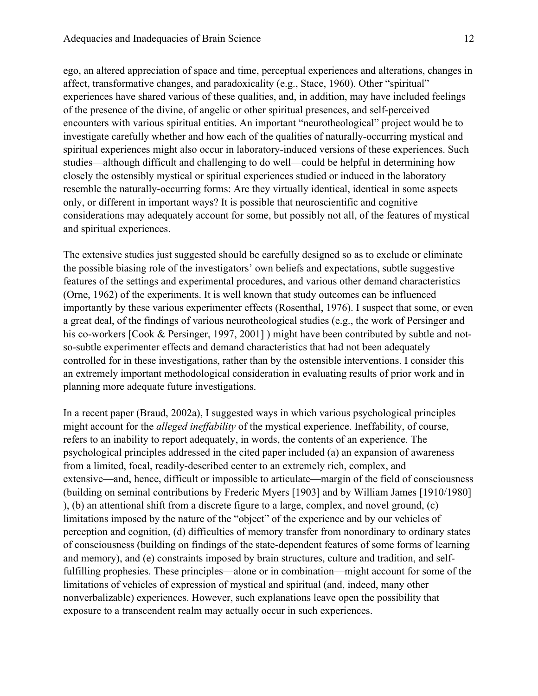ego, an altered appreciation of space and time, perceptual experiences and alterations, changes in affect, transformative changes, and paradoxicality (e.g., Stace, 1960). Other "spiritual" experiences have shared various of these qualities, and, in addition, may have included feelings of the presence of the divine, of angelic or other spiritual presences, and self-perceived encounters with various spiritual entities. An important "neurotheological" project would be to investigate carefully whether and how each of the qualities of naturally-occurring mystical and spiritual experiences might also occur in laboratory-induced versions of these experiences. Such studies—although difficult and challenging to do well—could be helpful in determining how closely the ostensibly mystical or spiritual experiences studied or induced in the laboratory resemble the naturally-occurring forms: Are they virtually identical, identical in some aspects only, or different in important ways? It is possible that neuroscientific and cognitive considerations may adequately account for some, but possibly not all, of the features of mystical and spiritual experiences.

The extensive studies just suggested should be carefully designed so as to exclude or eliminate the possible biasing role of the investigators' own beliefs and expectations, subtle suggestive features of the settings and experimental procedures, and various other demand characteristics (Orne, 1962) of the experiments. It is well known that study outcomes can be influenced importantly by these various experimenter effects (Rosenthal, 1976). I suspect that some, or even a great deal, of the findings of various neurotheological studies (e.g., the work of Persinger and his co-workers [Cook & Persinger, 1997, 2001] ) might have been contributed by subtle and notso-subtle experimenter effects and demand characteristics that had not been adequately controlled for in these investigations, rather than by the ostensible interventions. I consider this an extremely important methodological consideration in evaluating results of prior work and in planning more adequate future investigations.

In a recent paper (Braud, 2002a), I suggested ways in which various psychological principles might account for the *alleged ineffability* of the mystical experience. Ineffability, of course, refers to an inability to report adequately, in words, the contents of an experience. The psychological principles addressed in the cited paper included (a) an expansion of awareness from a limited, focal, readily-described center to an extremely rich, complex, and extensive—and, hence, difficult or impossible to articulate—margin of the field of consciousness (building on seminal contributions by Frederic Myers [1903] and by William James [1910/1980] ), (b) an attentional shift from a discrete figure to a large, complex, and novel ground, (c) limitations imposed by the nature of the "object" of the experience and by our vehicles of perception and cognition, (d) difficulties of memory transfer from nonordinary to ordinary states of consciousness (building on findings of the state-dependent features of some forms of learning and memory), and (e) constraints imposed by brain structures, culture and tradition, and selffulfilling prophesies. These principles—alone or in combination—might account for some of the limitations of vehicles of expression of mystical and spiritual (and, indeed, many other nonverbalizable) experiences. However, such explanations leave open the possibility that exposure to a transcendent realm may actually occur in such experiences.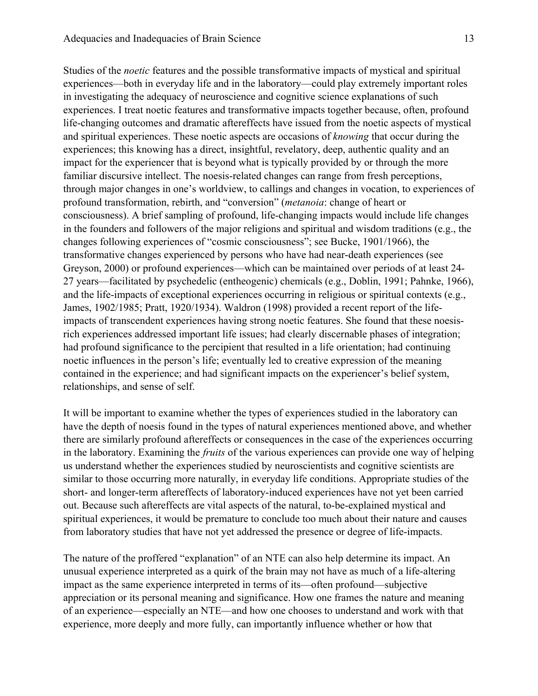Studies of the *noetic* features and the possible transformative impacts of mystical and spiritual experiences—both in everyday life and in the laboratory—could play extremely important roles in investigating the adequacy of neuroscience and cognitive science explanations of such experiences. I treat noetic features and transformative impacts together because, often, profound life-changing outcomes and dramatic aftereffects have issued from the noetic aspects of mystical and spiritual experiences. These noetic aspects are occasions of *knowing* that occur during the experiences; this knowing has a direct, insightful, revelatory, deep, authentic quality and an impact for the experiencer that is beyond what is typically provided by or through the more familiar discursive intellect. The noesis-related changes can range from fresh perceptions, through major changes in one's worldview, to callings and changes in vocation, to experiences of profound transformation, rebirth, and "conversion" (*metanoia*: change of heart or consciousness). A brief sampling of profound, life-changing impacts would include life changes in the founders and followers of the major religions and spiritual and wisdom traditions (e.g., the changes following experiences of "cosmic consciousness"; see Bucke, 1901/1966), the transformative changes experienced by persons who have had near-death experiences (see Greyson, 2000) or profound experiences—which can be maintained over periods of at least 24- 27 years—facilitated by psychedelic (entheogenic) chemicals (e.g., Doblin, 1991; Pahnke, 1966), and the life-impacts of exceptional experiences occurring in religious or spiritual contexts (e.g., James, 1902/1985; Pratt, 1920/1934). Waldron (1998) provided a recent report of the lifeimpacts of transcendent experiences having strong noetic features. She found that these noesisrich experiences addressed important life issues; had clearly discernable phases of integration; had profound significance to the percipient that resulted in a life orientation; had continuing noetic influences in the person's life; eventually led to creative expression of the meaning contained in the experience; and had significant impacts on the experiencer's belief system, relationships, and sense of self.

It will be important to examine whether the types of experiences studied in the laboratory can have the depth of noesis found in the types of natural experiences mentioned above, and whether there are similarly profound aftereffects or consequences in the case of the experiences occurring in the laboratory. Examining the *fruits* of the various experiences can provide one way of helping us understand whether the experiences studied by neuroscientists and cognitive scientists are similar to those occurring more naturally, in everyday life conditions. Appropriate studies of the short- and longer-term aftereffects of laboratory-induced experiences have not yet been carried out. Because such aftereffects are vital aspects of the natural, to-be-explained mystical and spiritual experiences, it would be premature to conclude too much about their nature and causes from laboratory studies that have not yet addressed the presence or degree of life-impacts.

The nature of the proffered "explanation" of an NTE can also help determine its impact. An unusual experience interpreted as a quirk of the brain may not have as much of a life-altering impact as the same experience interpreted in terms of its—often profound—subjective appreciation or its personal meaning and significance. How one frames the nature and meaning of an experience—especially an NTE—and how one chooses to understand and work with that experience, more deeply and more fully, can importantly influence whether or how that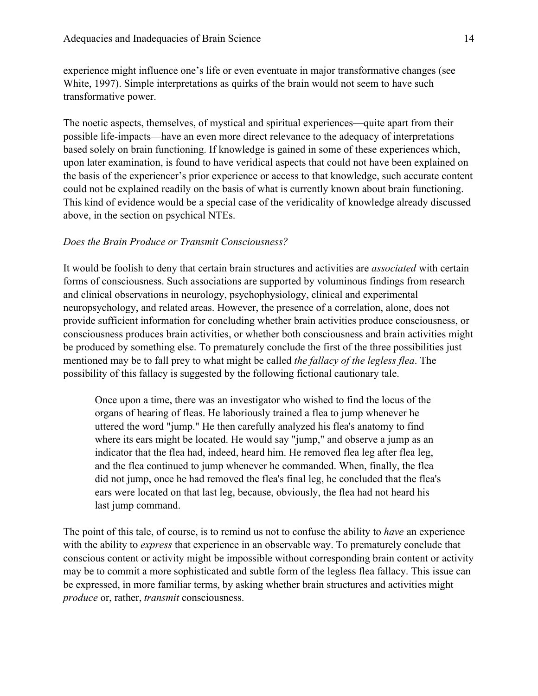experience might influence one's life or even eventuate in major transformative changes (see White, 1997). Simple interpretations as quirks of the brain would not seem to have such transformative power.

The noetic aspects, themselves, of mystical and spiritual experiences—quite apart from their possible life-impacts—have an even more direct relevance to the adequacy of interpretations based solely on brain functioning. If knowledge is gained in some of these experiences which, upon later examination, is found to have veridical aspects that could not have been explained on the basis of the experiencer's prior experience or access to that knowledge, such accurate content could not be explained readily on the basis of what is currently known about brain functioning. This kind of evidence would be a special case of the veridicality of knowledge already discussed above, in the section on psychical NTEs.

### *Does the Brain Produce or Transmit Consciousness?*

It would be foolish to deny that certain brain structures and activities are *associated* with certain forms of consciousness. Such associations are supported by voluminous findings from research and clinical observations in neurology, psychophysiology, clinical and experimental neuropsychology, and related areas. However, the presence of a correlation, alone, does not provide sufficient information for concluding whether brain activities produce consciousness, or consciousness produces brain activities, or whether both consciousness and brain activities might be produced by something else. To prematurely conclude the first of the three possibilities just mentioned may be to fall prey to what might be called *the fallacy of the legless flea*. The possibility of this fallacy is suggested by the following fictional cautionary tale.

Once upon a time, there was an investigator who wished to find the locus of the organs of hearing of fleas. He laboriously trained a flea to jump whenever he uttered the word "jump." He then carefully analyzed his flea's anatomy to find where its ears might be located. He would say "jump," and observe a jump as an indicator that the flea had, indeed, heard him. He removed flea leg after flea leg, and the flea continued to jump whenever he commanded. When, finally, the flea did not jump, once he had removed the flea's final leg, he concluded that the flea's ears were located on that last leg, because, obviously, the flea had not heard his last jump command.

The point of this tale, of course, is to remind us not to confuse the ability to *have* an experience with the ability to *express* that experience in an observable way. To prematurely conclude that conscious content or activity might be impossible without corresponding brain content or activity may be to commit a more sophisticated and subtle form of the legless flea fallacy. This issue can be expressed, in more familiar terms, by asking whether brain structures and activities might *produce* or, rather, *transmit* consciousness.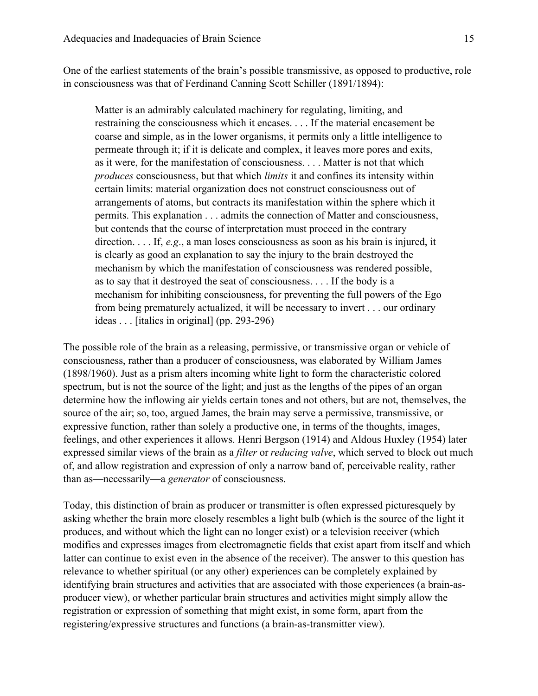One of the earliest statements of the brain's possible transmissive, as opposed to productive, role in consciousness was that of Ferdinand Canning Scott Schiller (1891/1894):

Matter is an admirably calculated machinery for regulating, limiting, and restraining the consciousness which it encases. . . . If the material encasement be coarse and simple, as in the lower organisms, it permits only a little intelligence to permeate through it; if it is delicate and complex, it leaves more pores and exits, as it were, for the manifestation of consciousness. . . . Matter is not that which *produces* consciousness, but that which *limits* it and confines its intensity within certain limits: material organization does not construct consciousness out of arrangements of atoms, but contracts its manifestation within the sphere which it permits. This explanation . . . admits the connection of Matter and consciousness, but contends that the course of interpretation must proceed in the contrary direction. . . . If, *e.g*., a man loses consciousness as soon as his brain is injured, it is clearly as good an explanation to say the injury to the brain destroyed the mechanism by which the manifestation of consciousness was rendered possible, as to say that it destroyed the seat of consciousness. . . . If the body is a mechanism for inhibiting consciousness, for preventing the full powers of the Ego from being prematurely actualized, it will be necessary to invert . . . our ordinary ideas . . . [italics in original] (pp. 293-296)

The possible role of the brain as a releasing, permissive, or transmissive organ or vehicle of consciousness, rather than a producer of consciousness, was elaborated by William James (1898/1960). Just as a prism alters incoming white light to form the characteristic colored spectrum, but is not the source of the light; and just as the lengths of the pipes of an organ determine how the inflowing air yields certain tones and not others, but are not, themselves, the source of the air; so, too, argued James, the brain may serve a permissive, transmissive, or expressive function, rather than solely a productive one, in terms of the thoughts, images, feelings, and other experiences it allows. Henri Bergson (1914) and Aldous Huxley (1954) later expressed similar views of the brain as a *filter* or *reducing valve*, which served to block out much of, and allow registration and expression of only a narrow band of, perceivable reality, rather than as—necessarily—a *generator* of consciousness.

Today, this distinction of brain as producer or transmitter is often expressed picturesquely by asking whether the brain more closely resembles a light bulb (which is the source of the light it produces, and without which the light can no longer exist) or a television receiver (which modifies and expresses images from electromagnetic fields that exist apart from itself and which latter can continue to exist even in the absence of the receiver). The answer to this question has relevance to whether spiritual (or any other) experiences can be completely explained by identifying brain structures and activities that are associated with those experiences (a brain-asproducer view), or whether particular brain structures and activities might simply allow the registration or expression of something that might exist, in some form, apart from the registering/expressive structures and functions (a brain-as-transmitter view).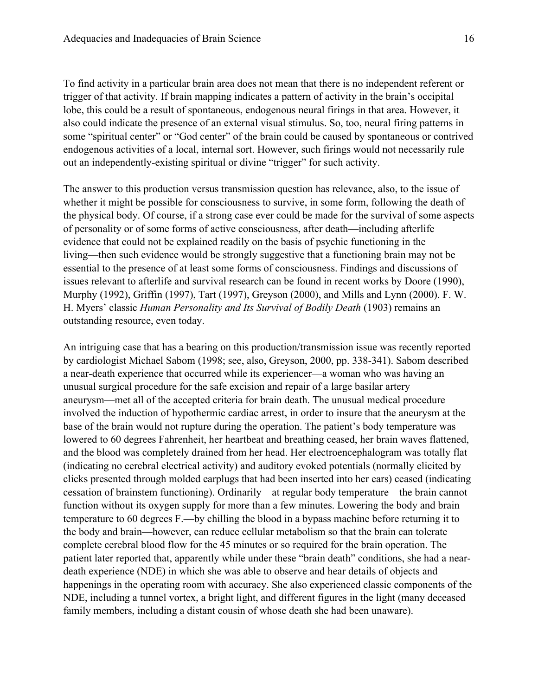To find activity in a particular brain area does not mean that there is no independent referent or trigger of that activity. If brain mapping indicates a pattern of activity in the brain's occipital lobe, this could be a result of spontaneous, endogenous neural firings in that area. However, it also could indicate the presence of an external visual stimulus. So, too, neural firing patterns in some "spiritual center" or "God center" of the brain could be caused by spontaneous or contrived endogenous activities of a local, internal sort. However, such firings would not necessarily rule out an independently-existing spiritual or divine "trigger" for such activity.

The answer to this production versus transmission question has relevance, also, to the issue of whether it might be possible for consciousness to survive, in some form, following the death of the physical body. Of course, if a strong case ever could be made for the survival of some aspects of personality or of some forms of active consciousness, after death—including afterlife evidence that could not be explained readily on the basis of psychic functioning in the living—then such evidence would be strongly suggestive that a functioning brain may not be essential to the presence of at least some forms of consciousness. Findings and discussions of issues relevant to afterlife and survival research can be found in recent works by Doore (1990), Murphy (1992), Griffin (1997), Tart (1997), Greyson (2000), and Mills and Lynn (2000). F. W. H. Myers' classic *Human Personality and Its Survival of Bodily Death* (1903) remains an outstanding resource, even today.

An intriguing case that has a bearing on this production/transmission issue was recently reported by cardiologist Michael Sabom (1998; see, also, Greyson, 2000, pp. 338-341). Sabom described a near-death experience that occurred while its experiencer—a woman who was having an unusual surgical procedure for the safe excision and repair of a large basilar artery aneurysm—met all of the accepted criteria for brain death. The unusual medical procedure involved the induction of hypothermic cardiac arrest, in order to insure that the aneurysm at the base of the brain would not rupture during the operation. The patient's body temperature was lowered to 60 degrees Fahrenheit, her heartbeat and breathing ceased, her brain waves flattened, and the blood was completely drained from her head. Her electroencephalogram was totally flat (indicating no cerebral electrical activity) and auditory evoked potentials (normally elicited by clicks presented through molded earplugs that had been inserted into her ears) ceased (indicating cessation of brainstem functioning). Ordinarily—at regular body temperature—the brain cannot function without its oxygen supply for more than a few minutes. Lowering the body and brain temperature to 60 degrees F.—by chilling the blood in a bypass machine before returning it to the body and brain—however, can reduce cellular metabolism so that the brain can tolerate complete cerebral blood flow for the 45 minutes or so required for the brain operation. The patient later reported that, apparently while under these "brain death" conditions, she had a neardeath experience (NDE) in which she was able to observe and hear details of objects and happenings in the operating room with accuracy. She also experienced classic components of the NDE, including a tunnel vortex, a bright light, and different figures in the light (many deceased family members, including a distant cousin of whose death she had been unaware).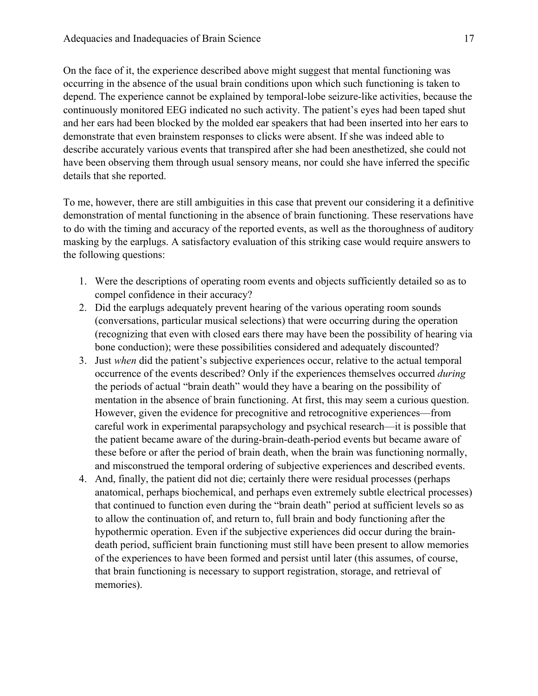On the face of it, the experience described above might suggest that mental functioning was occurring in the absence of the usual brain conditions upon which such functioning is taken to depend. The experience cannot be explained by temporal-lobe seizure-like activities, because the continuously monitored EEG indicated no such activity. The patient's eyes had been taped shut and her ears had been blocked by the molded ear speakers that had been inserted into her ears to demonstrate that even brainstem responses to clicks were absent. If she was indeed able to describe accurately various events that transpired after she had been anesthetized, she could not have been observing them through usual sensory means, nor could she have inferred the specific details that she reported.

To me, however, there are still ambiguities in this case that prevent our considering it a definitive demonstration of mental functioning in the absence of brain functioning. These reservations have to do with the timing and accuracy of the reported events, as well as the thoroughness of auditory masking by the earplugs. A satisfactory evaluation of this striking case would require answers to the following questions:

- 1. Were the descriptions of operating room events and objects sufficiently detailed so as to compel confidence in their accuracy?
- 2. Did the earplugs adequately prevent hearing of the various operating room sounds (conversations, particular musical selections) that were occurring during the operation (recognizing that even with closed ears there may have been the possibility of hearing via bone conduction); were these possibilities considered and adequately discounted?
- 3. Just *when* did the patient's subjective experiences occur, relative to the actual temporal occurrence of the events described? Only if the experiences themselves occurred *during* the periods of actual "brain death" would they have a bearing on the possibility of mentation in the absence of brain functioning. At first, this may seem a curious question. However, given the evidence for precognitive and retrocognitive experiences—from careful work in experimental parapsychology and psychical research—it is possible that the patient became aware of the during-brain-death-period events but became aware of these before or after the period of brain death, when the brain was functioning normally, and misconstrued the temporal ordering of subjective experiences and described events.
- 4. And, finally, the patient did not die; certainly there were residual processes (perhaps anatomical, perhaps biochemical, and perhaps even extremely subtle electrical processes) that continued to function even during the "brain death" period at sufficient levels so as to allow the continuation of, and return to, full brain and body functioning after the hypothermic operation. Even if the subjective experiences did occur during the braindeath period, sufficient brain functioning must still have been present to allow memories of the experiences to have been formed and persist until later (this assumes, of course, that brain functioning is necessary to support registration, storage, and retrieval of memories).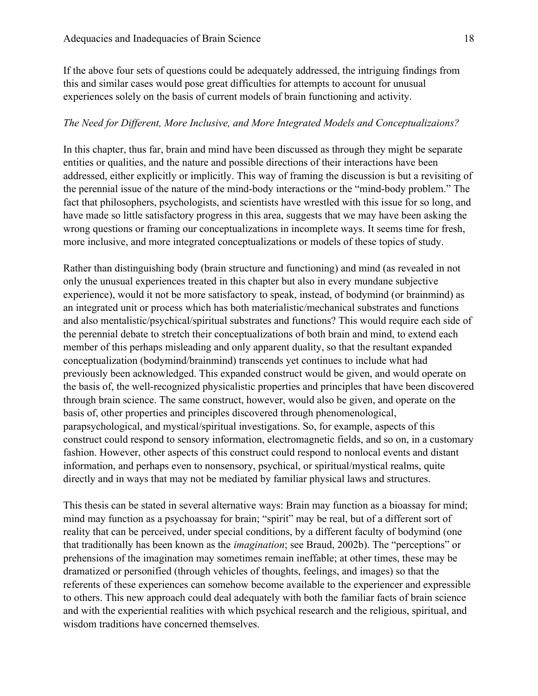If the above four sets of questions could be adequately addressed, the intriguing findings from this and similar cases would pose great difficulties for attempts to account for unusual experiences solely on the basis of current models of brain functioning and activity.

#### *The Need for Different, More Inclusive, and More Integrated Models and Conceptualizaions?*

In this chapter, thus far, brain and mind have been discussed as through they might be separate entities or qualities, and the nature and possible directions of their interactions have been addressed, either explicitly or implicitly. This way of framing the discussion is but a revisiting of the perennial issue of the nature of the mind-body interactions or the "mind-body problem." The fact that philosophers, psychologists, and scientists have wrestled with this issue for so long, and have made so little satisfactory progress in this area, suggests that we may have been asking the wrong questions or framing our conceptualizations in incomplete ways. It seems time for fresh, more inclusive, and more integrated conceptualizations or models of these topics of study.

Rather than distinguishing body (brain structure and functioning) and mind (as revealed in not only the unusual experiences treated in this chapter but also in every mundane subjective experience), would it not be more satisfactory to speak, instead, of bodymind (or brainmind) as an integrated unit or process which has both materialistic/mechanical substrates and functions and also mentalistic/psychical/spiritual substrates and functions? This would require each side of the perennial debate to stretch their conceptualizations of both brain and mind, to extend each member of this perhaps misleading and only apparent duality, so that the resultant expanded conceptualization (bodymind/brainmind) transcends yet continues to include what had previously been acknowledged. This expanded construct would be given, and would operate on the basis of, the well-recognized physicalistic properties and principles that have been discovered through brain science. The same construct, however, would also be given, and operate on the basis of, other properties and principles discovered through phenomenological, parapsychological, and mystical/spiritual investigations. So, for example, aspects of this construct could respond to sensory information, electromagnetic fields, and so on, in a customary fashion. However, other aspects of this construct could respond to nonlocal events and distant information, and perhaps even to nonsensory, psychical, or spiritual/mystical realms, quite directly and in ways that may not be mediated by familiar physical laws and structures.

This thesis can be stated in several alternative ways: Brain may function as a bioassay for mind; mind may function as a psychoassay for brain; "spirit" may be real, but of a different sort of reality that can be perceived, under special conditions, by a different faculty of bodymind (one that traditionally has been known as the *imagination*; see Braud, 2002b). The "perceptions" or prehensions of the imagination may sometimes remain ineffable; at other times, these may be dramatized or personified (through vehicles of thoughts, feelings, and images) so that the referents of these experiences can somehow become available to the experiencer and expressible to others. This new approach could deal adequately with both the familiar facts of brain science and with the experiential realities with which psychical research and the religious, spiritual, and wisdom traditions have concerned themselves.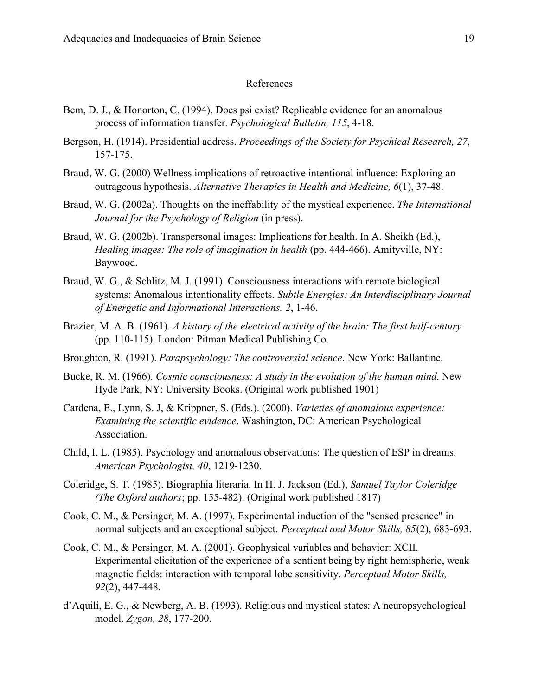#### References

- Bem, D. J., & Honorton, C. (1994). Does psi exist? Replicable evidence for an anomalous process of information transfer. *Psychological Bulletin, 115*, 4-18.
- Bergson, H. (1914). Presidential address. *Proceedings of the Society for Psychical Research, 27*, 157-175.
- Braud, W. G. (2000) Wellness implications of retroactive intentional influence: Exploring an outrageous hypothesis. *Alternative Therapies in Health and Medicine, 6*(1), 37-48.
- Braud, W. G. (2002a). Thoughts on the ineffability of the mystical experience. *The International Journal for the Psychology of Religion* (in press).
- Braud, W. G. (2002b). Transpersonal images: Implications for health. In A. Sheikh (Ed.), *Healing images: The role of imagination in health* (pp. 444-466). Amityville, NY: Baywood.
- Braud, W. G., & Schlitz, M. J. (1991). Consciousness interactions with remote biological systems: Anomalous intentionality effects. *Subtle Energies: An Interdisciplinary Journal of Energetic and Informational Interactions. 2*, 1-46.
- Brazier, M. A. B. (1961). *A history of the electrical activity of the brain: The first half-century* (pp. 110-115). London: Pitman Medical Publishing Co.
- Broughton, R. (1991). *Parapsychology: The controversial science*. New York: Ballantine.
- Bucke, R. M. (1966). *Cosmic consciousness: A study in the evolution of the human mind*. New Hyde Park, NY: University Books. (Original work published 1901)
- Cardena, E., Lynn, S. J, & Krippner, S. (Eds.). (2000). *Varieties of anomalous experience: Examining the scientific evidence*. Washington, DC: American Psychological Association.
- Child, I. L. (1985). Psychology and anomalous observations: The question of ESP in dreams. *American Psychologist, 40*, 1219-1230.
- Coleridge, S. T. (1985). Biographia literaria. In H. J. Jackson (Ed.), *Samuel Taylor Coleridge (The Oxford authors*; pp. 155-482). (Original work published 1817)
- Cook, C. M., & Persinger, M. A. (1997). Experimental induction of the "sensed presence" in normal subjects and an exceptional subject. *Perceptual and Motor Skills, 85*(2), 683-693.
- Cook, C. M., & Persinger, M. A. (2001). Geophysical variables and behavior: XCII. Experimental elicitation of the experience of a sentient being by right hemispheric, weak magnetic fields: interaction with temporal lobe sensitivity. *Perceptual Motor Skills, 92*(2), 447-448.
- d'Aquili, E. G., & Newberg, A. B. (1993). Religious and mystical states: A neuropsychological model. *Zygon, 28*, 177-200.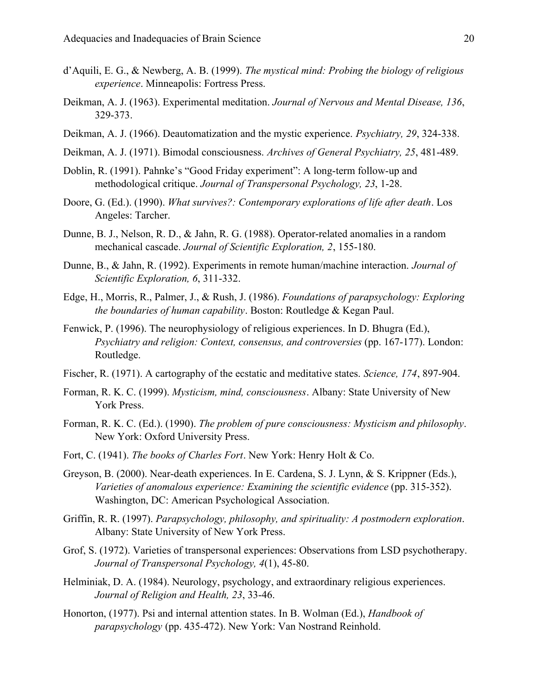- d'Aquili, E. G., & Newberg, A. B. (1999). *The mystical mind: Probing the biology of religious experience*. Minneapolis: Fortress Press.
- Deikman, A. J. (1963). Experimental meditation. *Journal of Nervous and Mental Disease, 136*, 329-373.
- Deikman, A. J. (1966). Deautomatization and the mystic experience. *Psychiatry, 29*, 324-338.
- Deikman, A. J. (1971). Bimodal consciousness. *Archives of General Psychiatry, 25*, 481-489.
- Doblin, R. (1991). Pahnke's "Good Friday experiment": A long-term follow-up and methodological critique. *Journal of Transpersonal Psychology, 23*, 1-28.
- Doore, G. (Ed.). (1990). *What survives?: Contemporary explorations of life after death*. Los Angeles: Tarcher.
- Dunne, B. J., Nelson, R. D., & Jahn, R. G. (1988). Operator-related anomalies in a random mechanical cascade. *Journal of Scientific Exploration, 2*, 155-180.
- Dunne, B., & Jahn, R. (1992). Experiments in remote human/machine interaction. *Journal of Scientific Exploration, 6*, 311-332.
- Edge, H., Morris, R., Palmer, J., & Rush, J. (1986). *Foundations of parapsychology: Exploring the boundaries of human capability*. Boston: Routledge & Kegan Paul.
- Fenwick, P. (1996). The neurophysiology of religious experiences. In D. Bhugra (Ed.), *Psychiatry and religion: Context, consensus, and controversies* (pp. 167-177). London: Routledge.
- Fischer, R. (1971). A cartography of the ecstatic and meditative states. *Science, 174*, 897-904.
- Forman, R. K. C. (1999). *Mysticism, mind, consciousness*. Albany: State University of New York Press.
- Forman, R. K. C. (Ed.). (1990). *The problem of pure consciousness: Mysticism and philosophy*. New York: Oxford University Press.
- Fort, C. (1941). *The books of Charles Fort*. New York: Henry Holt & Co.
- Greyson, B. (2000). Near-death experiences. In E. Cardena, S. J. Lynn, & S. Krippner (Eds.), Varieties of anomalous experience: Examining the scientific evidence (pp. 315-352). Washington, DC: American Psychological Association.
- Griffin, R. R. (1997). *Parapsychology, philosophy, and spirituality: A postmodern exploration*. Albany: State University of New York Press.
- Grof, S. (1972). Varieties of transpersonal experiences: Observations from LSD psychotherapy. *Journal of Transpersonal Psychology, 4*(1), 45-80.
- Helminiak, D. A. (1984). Neurology, psychology, and extraordinary religious experiences. *Journal of Religion and Health, 23*, 33-46.
- Honorton, (1977). Psi and internal attention states. In B. Wolman (Ed.), *Handbook of parapsychology* (pp. 435-472). New York: Van Nostrand Reinhold.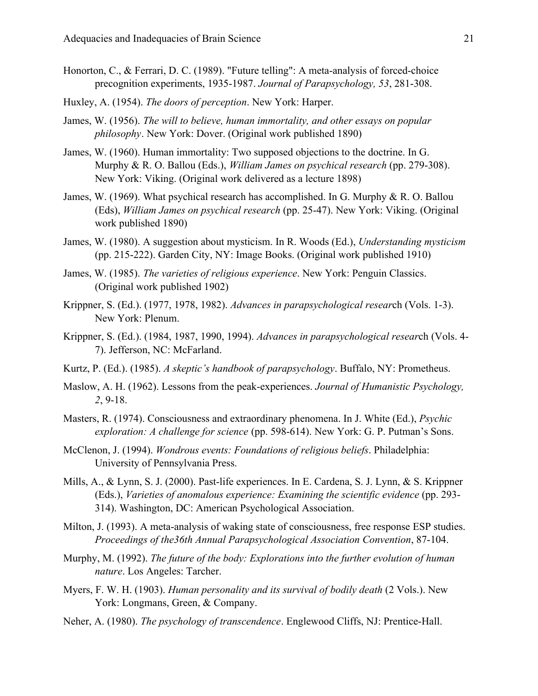- Honorton, C., & Ferrari, D. C. (1989). "Future telling": A meta-analysis of forced-choice precognition experiments, 1935-1987. *Journal of Parapsychology, 53*, 281-308.
- Huxley, A. (1954). *The doors of perception*. New York: Harper.
- James, W. (1956). *The will to believe, human immortality, and other essays on popular philosophy*. New York: Dover. (Original work published 1890)
- James, W. (1960). Human immortality: Two supposed objections to the doctrine. In G. Murphy & R. O. Ballou (Eds.), *William James on psychical research* (pp. 279-308). New York: Viking. (Original work delivered as a lecture 1898)
- James, W. (1969). What psychical research has accomplished. In G. Murphy & R. O. Ballou (Eds), *William James on psychical research* (pp. 25-47). New York: Viking. (Original work published 1890)
- James, W. (1980). A suggestion about mysticism. In R. Woods (Ed.), *Understanding mysticism* (pp. 215-222). Garden City, NY: Image Books. (Original work published 1910)
- James, W. (1985). *The varieties of religious experience*. New York: Penguin Classics. (Original work published 1902)
- Krippner, S. (Ed.). (1977, 1978, 1982). *Advances in parapsychological resear*ch (Vols. 1-3). New York: Plenum.
- Krippner, S. (Ed.). (1984, 1987, 1990, 1994). *Advances in parapsychological resear*ch (Vols. 4- 7). Jefferson, NC: McFarland.
- Kurtz, P. (Ed.). (1985). *A skeptic's handbook of parapsychology*. Buffalo, NY: Prometheus.
- Maslow, A. H. (1962). Lessons from the peak-experiences. *Journal of Humanistic Psychology, 2*, 9-18.
- Masters, R. (1974). Consciousness and extraordinary phenomena. In J. White (Ed.), *Psychic exploration: A challenge for science* (pp. 598-614). New York: G. P. Putman's Sons.
- McClenon, J. (1994). *Wondrous events: Foundations of religious beliefs*. Philadelphia: University of Pennsylvania Press.
- Mills, A., & Lynn, S. J. (2000). Past-life experiences. In E. Cardena, S. J. Lynn, & S. Krippner (Eds.), *Varieties of anomalous experience: Examining the scientific evidence* (pp. 293- 314). Washington, DC: American Psychological Association.
- Milton, J. (1993). A meta-analysis of waking state of consciousness, free response ESP studies. *Proceedings of the36th Annual Parapsychological Association Convention*, 87-104.
- Murphy, M. (1992). *The future of the body: Explorations into the further evolution of human nature*. Los Angeles: Tarcher.
- Myers, F. W. H. (1903). *Human personality and its survival of bodily death* (2 Vols.). New York: Longmans, Green, & Company.
- Neher, A. (1980). *The psychology of transcendence*. Englewood Cliffs, NJ: Prentice-Hall.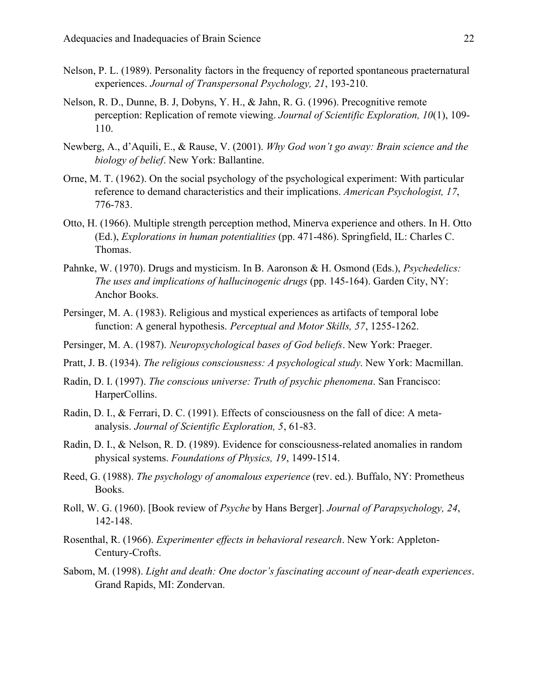- Nelson, P. L. (1989). Personality factors in the frequency of reported spontaneous praeternatural experiences. *Journal of Transpersonal Psychology, 21*, 193-210.
- Nelson, R. D., Dunne, B. J, Dobyns, Y. H., & Jahn, R. G. (1996). Precognitive remote perception: Replication of remote viewing. *Journal of Scientific Exploration, 10*(1), 109- 110.
- Newberg, A., d'Aquili, E., & Rause, V. (2001). *Why God won't go away: Brain science and the biology of belief*. New York: Ballantine.
- Orne, M. T. (1962). On the social psychology of the psychological experiment: With particular reference to demand characteristics and their implications. *American Psychologist, 17*, 776-783.
- Otto, H. (1966). Multiple strength perception method, Minerva experience and others. In H. Otto (Ed.), *Explorations in human potentialities* (pp. 471-486). Springfield, IL: Charles C. Thomas.
- Pahnke, W. (1970). Drugs and mysticism. In B. Aaronson & H. Osmond (Eds.), *Psychedelics: The uses and implications of hallucinogenic drugs* (pp. 145-164). Garden City, NY: Anchor Books.
- Persinger, M. A. (1983). Religious and mystical experiences as artifacts of temporal lobe function: A general hypothesis. *Perceptual and Motor Skills, 57*, 1255-1262.
- Persinger, M. A. (1987). *Neuropsychological bases of God beliefs*. New York: Praeger.
- Pratt, J. B. (1934). *The religious consciousness: A psychological study*. New York: Macmillan.
- Radin, D. I. (1997). *The conscious universe: Truth of psychic phenomena*. San Francisco: HarperCollins.
- Radin, D. I., & Ferrari, D. C. (1991). Effects of consciousness on the fall of dice: A metaanalysis. *Journal of Scientific Exploration, 5*, 61-83.
- Radin, D. I., & Nelson, R. D. (1989). Evidence for consciousness-related anomalies in random physical systems. *Foundations of Physics, 19*, 1499-1514.
- Reed, G. (1988). *The psychology of anomalous experience* (rev. ed.). Buffalo, NY: Prometheus Books.
- Roll, W. G. (1960). [Book review of *Psyche* by Hans Berger]. *Journal of Parapsychology, 24*, 142-148.
- Rosenthal, R. (1966). *Experimenter effects in behavioral research*. New York: Appleton-Century-Crofts.
- Sabom, M. (1998). *Light and death: One doctor's fascinating account of near-death experiences*. Grand Rapids, MI: Zondervan.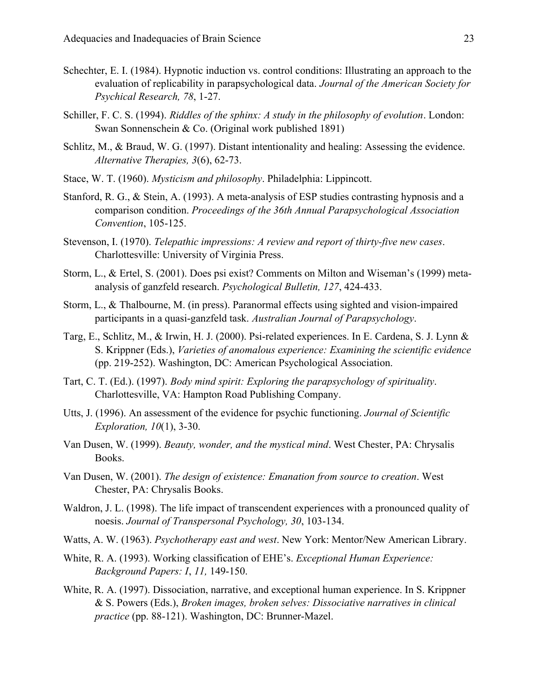- Schechter, E. I. (1984). Hypnotic induction vs. control conditions: Illustrating an approach to the evaluation of replicability in parapsychological data. *Journal of the American Society for Psychical Research, 78*, 1-27.
- Schiller, F. C. S. (1994). *Riddles of the sphinx: A study in the philosophy of evolution*. London: Swan Sonnenschein & Co. (Original work published 1891)
- Schlitz, M., & Braud, W. G. (1997). Distant intentionality and healing: Assessing the evidence. *Alternative Therapies, 3*(6), 62-73.
- Stace, W. T. (1960). *Mysticism and philosophy*. Philadelphia: Lippincott.
- Stanford, R. G., & Stein, A. (1993). A meta-analysis of ESP studies contrasting hypnosis and a comparison condition. *Proceedings of the 36th Annual Parapsychological Association Convention*, 105-125.
- Stevenson, I. (1970). *Telepathic impressions: A review and report of thirty-five new cases*. Charlottesville: University of Virginia Press.
- Storm, L., & Ertel, S. (2001). Does psi exist? Comments on Milton and Wiseman's (1999) metaanalysis of ganzfeld research. *Psychological Bulletin, 127*, 424-433.
- Storm, L., & Thalbourne, M. (in press). Paranormal effects using sighted and vision-impaired participants in a quasi-ganzfeld task. *Australian Journal of Parapsychology*.
- Targ, E., Schlitz, M., & Irwin, H. J. (2000). Psi-related experiences. In E. Cardena, S. J. Lynn & S. Krippner (Eds.), *Varieties of anomalous experience: Examining the scientific evidence* (pp. 219-252). Washington, DC: American Psychological Association.
- Tart, C. T. (Ed.). (1997). *Body mind spirit: Exploring the parapsychology of spirituality*. Charlottesville, VA: Hampton Road Publishing Company.
- Utts, J. (1996). An assessment of the evidence for psychic functioning. *Journal of Scientific Exploration, 10*(1), 3-30.
- Van Dusen, W. (1999). *Beauty, wonder, and the mystical mind*. West Chester, PA: Chrysalis Books.
- Van Dusen, W. (2001). *The design of existence: Emanation from source to creation*. West Chester, PA: Chrysalis Books.
- Waldron, J. L. (1998). The life impact of transcendent experiences with a pronounced quality of noesis. *Journal of Transpersonal Psychology, 30*, 103-134.
- Watts, A. W. (1963). *Psychotherapy east and west*. New York: Mentor/New American Library.
- White, R. A. (1993). Working classification of EHE's. *Exceptional Human Experience: Background Papers: I*, *11,* 149-150.
- White, R. A. (1997). Dissociation, narrative, and exceptional human experience. In S. Krippner & S. Powers (Eds.), *Broken images, broken selves: Dissociative narratives in clinical practice* (pp. 88-121). Washington, DC: Brunner-Mazel.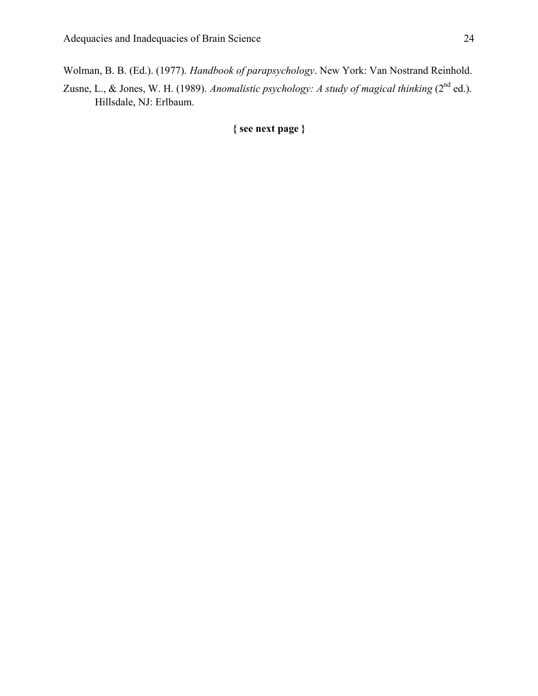Wolman, B. B. (Ed.). (1977). *Handbook of parapsychology*. New York: Van Nostrand Reinhold.

Zusne, L., & Jones, W. H. (1989). *Anomalistic psychology: A study of magical thinking* (2<sup>nd</sup> ed.). Hillsdale, NJ: Erlbaum.

**{ see next page }**